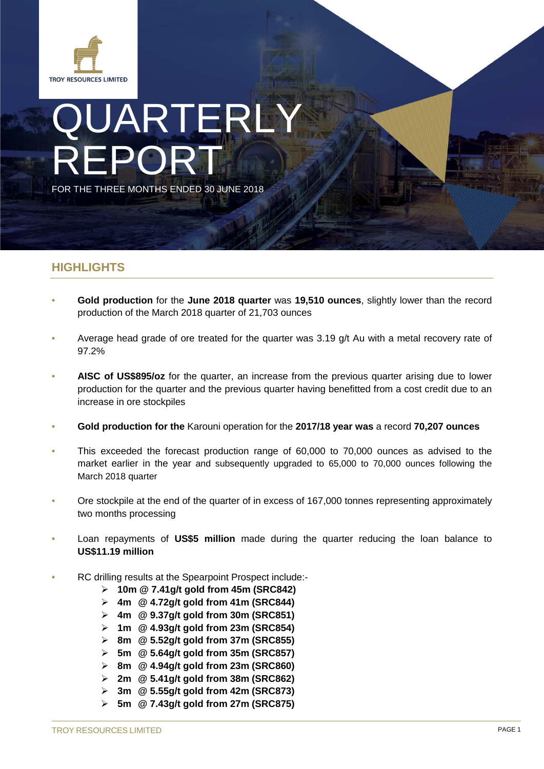

# QUARTERLY REPORT FOR THE THREE MONTHS ENDED 30 JUNE 2018

# **HIGHLIGHTS**

- **Gold production** for the **June 2018 quarter** was **19,510 ounces**, slightly lower than the record production of the March 2018 quarter of 21,703 ounces
- Average head grade of ore treated for the quarter was 3.19 g/t Au with a metal recovery rate of 97.2%
- **AISC of US\$895/oz** for the quarter, an increase from the previous quarter arising due to lower production for the quarter and the previous quarter having benefitted from a cost credit due to an increase in ore stockpiles
- **Gold production for the** Karouni operation for the **2017/18 year was** a record **70,207 ounces**
- This exceeded the forecast production range of 60,000 to 70,000 ounces as advised to the market earlier in the year and subsequently upgraded to 65,000 to 70,000 ounces following the March 2018 quarter
- Ore stockpile at the end of the quarter of in excess of 167,000 tonnes representing approximately two months processing
- Loan repayments of **US\$5 million** made during the quarter reducing the loan balance to **US\$11.19 million**
- RC drilling results at the Spearpoint Prospect include:-
	- **10m @ 7.41g/t gold from 45m (SRC842)**
	- **4m @ 4.72g/t gold from 41m (SRC844)**
	- **4m @ 9.37g/t gold from 30m (SRC851)**
	- **1m @ 4.93g/t gold from 23m (SRC854)**
	- **8m @ 5.52g/t gold from 37m (SRC855)**
	- **5m @ 5.64g/t gold from 35m (SRC857)**
	- **8m @ 4.94g/t gold from 23m (SRC860)**
	- **2m @ 5.41g/t gold from 38m (SRC862)**
	- **3m @ 5.55g/t gold from 42m (SRC873)**
	- **5m @ 7.43g/t gold from 27m (SRC875)**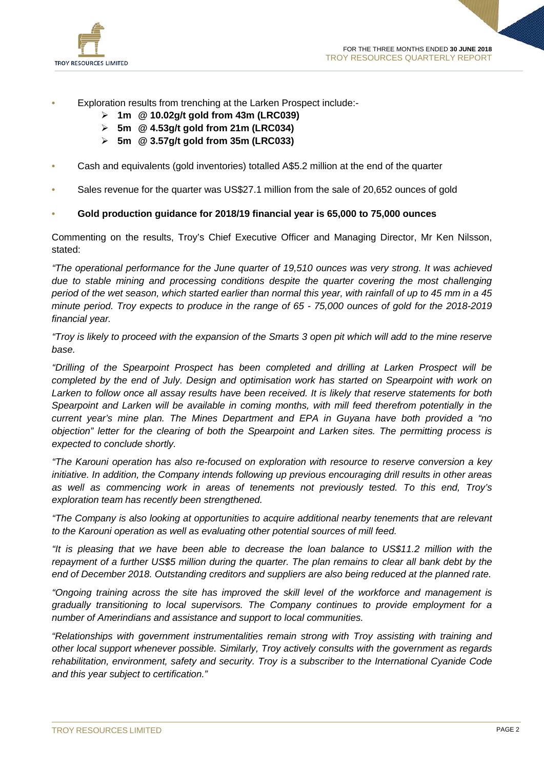

- Exploration results from trenching at the Larken Prospect include:-
	- **1m @ 10.02g/t gold from 43m (LRC039)**
	- **5m @ 4.53g/t gold from 21m (LRC034)**
	- **5m @ 3.57g/t gold from 35m (LRC033)**
- Cash and equivalents (gold inventories) totalled A\$5.2 million at the end of the quarter
- Sales revenue for the quarter was US\$27.1 million from the sale of 20,652 ounces of gold

#### • **Gold production guidance for 2018/19 financial year is 65,000 to 75,000 ounces**

Commenting on the results, Troy's Chief Executive Officer and Managing Director, Mr Ken Nilsson, stated:

*"The operational performance for the June quarter of 19,510 ounces was very strong. It was achieved due to stable mining and processing conditions despite the quarter covering the most challenging period of the wet season, which started earlier than normal this year, with rainfall of up to 45 mm in a 45 minute period. Troy expects to produce in the range of 65 - 75,000 ounces of gold for the 2018-2019 financial year.* 

*"Troy is likely to proceed with the expansion of the Smarts 3 open pit which will add to the mine reserve base.*

*"Drilling of the Spearpoint Prospect has been completed and drilling at Larken Prospect will be completed by the end of July. Design and optimisation work has started on Spearpoint with work on Larken to follow once all assay results have been received. It is likely that reserve statements for both Spearpoint and Larken will be available in coming months, with mill feed therefrom potentially in the current year's mine plan. The Mines Department and EPA in Guyana have both provided a "no objection" letter for the clearing of both the Spearpoint and Larken sites. The permitting process is expected to conclude shortly.* 

*"The Karouni operation has also re-focused on exploration with resource to reserve conversion a key initiative. In addition, the Company intends following up previous encouraging drill results in other areas as well as commencing work in areas of tenements not previously tested. To this end, Troy's exploration team has recently been strengthened.*

*"The Company is also looking at opportunities to acquire additional nearby tenements that are relevant to the Karouni operation as well as evaluating other potential sources of mill feed.*

*"It is pleasing that we have been able to decrease the loan balance to US\$11.2 million with the repayment of a further US\$5 million during the quarter. The plan remains to clear all bank debt by the end of December 2018. Outstanding creditors and suppliers are also being reduced at the planned rate.*

*"Ongoing training across the site has improved the skill level of the workforce and management is gradually transitioning to local supervisors. The Company continues to provide employment for a number of Amerindians and assistance and support to local communities.* 

*"Relationships with government instrumentalities remain strong with Troy assisting with training and other local support whenever possible. Similarly, Troy actively consults with the government as regards rehabilitation, environment, safety and security. Troy is a subscriber to the International Cyanide Code and this year subject to certification."*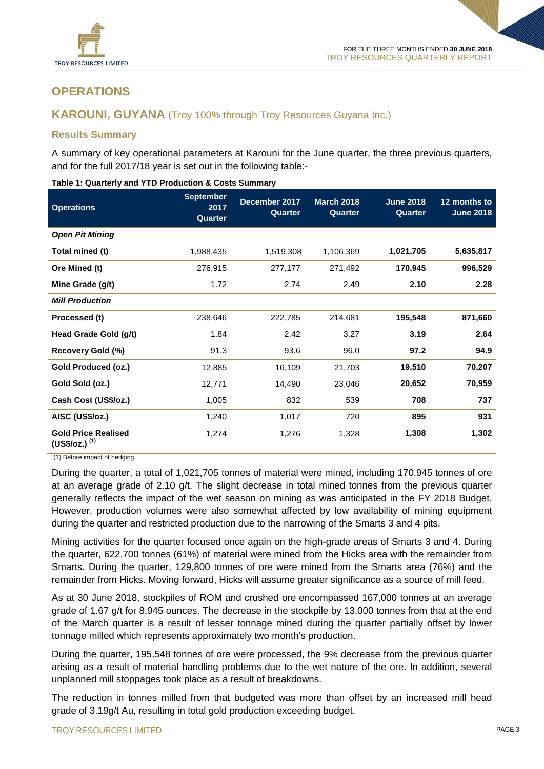

# **OPERATIONS**

## **KAROUNI, GUYANA** (Troy 100% through Troy Resources Guyana Inc.)

#### **Results Summary**

A summary of key operational parameters at Karouni for the June quarter, the three previous quarters, and for the full 2017/18 year is set out in the following table:-

| <b>Operations</b>                                        | <b>September</b><br>2017<br>Quarter | December 2017<br>Quarter | <b>March 2018</b><br><b>Quarter</b> | <b>June 2018</b><br>Quarter | 12 months to<br><b>June 2018</b> |
|----------------------------------------------------------|-------------------------------------|--------------------------|-------------------------------------|-----------------------------|----------------------------------|
| <b>Open Pit Mining</b>                                   |                                     |                          |                                     |                             |                                  |
| Total mined (t)                                          | 1,988,435                           | 1,519,308                | 1,106,369                           | 1,021,705                   | 5,635,817                        |
| Ore Mined (t)                                            | 276,915                             | 277,177                  | 271,492                             | 170,945                     | 996,529                          |
| Mine Grade (g/t)                                         | 1.72                                | 2.74                     | 2.49                                | 2.10                        | 2.28                             |
| <b>Mill Production</b>                                   |                                     |                          |                                     |                             |                                  |
| Processed (t)                                            | 238,646                             | 222,785                  | 214,681                             | 195,548                     | 871,660                          |
| Head Grade Gold (g/t)                                    | 1.84                                | 2.42                     | 3.27                                | 3.19                        | 2.64                             |
| Recovery Gold (%)                                        | 91.3                                | 93.6                     | 96.0                                | 97.2                        | 94.9                             |
| Gold Produced (oz.)                                      | 12,885                              | 16,109                   | 21,703                              | 19,510                      | 70,207                           |
| Gold Sold (oz.)                                          | 12,771                              | 14,490                   | 23,046                              | 20,652                      | 70,959                           |
| Cash Cost (US\$/oz.)                                     | 1,005                               | 832                      | 539                                 | 708                         | 737                              |
| AISC (US\$/oz.)                                          | 1,240                               | 1,017                    | 720                                 | 895                         | 931                              |
| <b>Gold Price Realised</b><br>$(US$/oz.)$ <sup>(1)</sup> | 1,274                               | 1,276                    | 1,328                               | 1,308                       | 1,302                            |

#### **Table 1: Quarterly and YTD Production & Costs Summary**

(1) Before impact of hedging.

During the quarter, a total of 1,021,705 tonnes of material were mined, including 170,945 tonnes of ore at an average grade of 2.10 g/t. The slight decrease in total mined tonnes from the previous quarter generally reflects the impact of the wet season on mining as was anticipated in the FY 2018 Budget. However, production volumes were also somewhat affected by low availability of mining equipment during the quarter and restricted production due to the narrowing of the Smarts 3 and 4 pits.

Mining activities for the quarter focused once again on the high-grade areas of Smarts 3 and 4. During the quarter, 622,700 tonnes (61%) of material were mined from the Hicks area with the remainder from Smarts. During the quarter, 129,800 tonnes of ore were mined from the Smarts area (76%) and the remainder from Hicks. Moving forward, Hicks will assume greater significance as a source of mill feed.

As at 30 June 2018, stockpiles of ROM and crushed ore encompassed 167,000 tonnes at an average grade of 1.67 g/t for 8,945 ounces. The decrease in the stockpile by 13,000 tonnes from that at the end of the March quarter is a result of lesser tonnage mined during the quarter partially offset by lower tonnage milled which represents approximately two month's production.

During the quarter, 195,548 tonnes of ore were processed, the 9% decrease from the previous quarter arising as a result of material handling problems due to the wet nature of the ore. In addition, several unplanned mill stoppages took place as a result of breakdowns.

The reduction in tonnes milled from that budgeted was more than offset by an increased mill head grade of 3.19g/t Au, resulting in total gold production exceeding budget.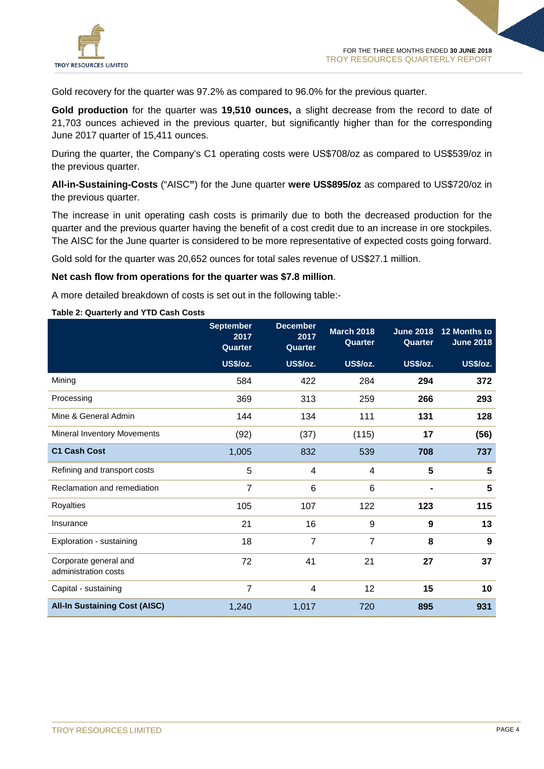

Gold recovery for the quarter was 97.2% as compared to 96.0% for the previous quarter.

**Gold production** for the quarter was **19,510 ounces,** a slight decrease from the record to date of 21,703 ounces achieved in the previous quarter, but significantly higher than for the corresponding June 2017 quarter of 15,411 ounces.

During the quarter, the Company's C1 operating costs were US\$708/oz as compared to US\$539/oz in the previous quarter.

**All-in-Sustaining-Costs** ("AISC**"**) for the June quarter **were US\$895/oz** as compared to US\$720/oz in the previous quarter.

The increase in unit operating cash costs is primarily due to both the decreased production for the quarter and the previous quarter having the benefit of a cost credit due to an increase in ore stockpiles. The AISC for the June quarter is considered to be more representative of expected costs going forward.

Gold sold for the quarter was 20,652 ounces for total sales revenue of US\$27.1 million.

#### **Net cash flow from operations for the quarter was \$7.8 million**.

A more detailed breakdown of costs is set out in the following table:-

#### **Table 2: Quarterly and YTD Cash Costs**

|                                               | <b>September</b><br>2017<br>Quarter | <b>December</b><br>2017<br>Quarter | <b>March 2018</b><br>Quarter | <b>June 2018</b><br>Quarter | 12 Months to<br><b>June 2018</b> |
|-----------------------------------------------|-------------------------------------|------------------------------------|------------------------------|-----------------------------|----------------------------------|
|                                               | <b>US\$/oz.</b>                     | <b>US\$/oz.</b>                    | <b>US\$/oz.</b>              | US\$/oz.                    | US\$/oz.                         |
| Mining                                        | 584                                 | 422                                | 284                          | 294                         | 372                              |
| Processing                                    | 369                                 | 313                                | 259                          | 266                         | 293                              |
| Mine & General Admin                          | 144                                 | 134                                | 111                          | 131                         | 128                              |
| Mineral Inventory Movements                   | (92)                                | (37)                               | (115)                        | 17                          | (56)                             |
| <b>C1 Cash Cost</b>                           | 1,005                               | 832                                | 539                          | 708                         | 737                              |
| Refining and transport costs                  | 5                                   | 4                                  | 4                            | 5                           | 5                                |
| Reclamation and remediation                   | $\overline{7}$                      | 6                                  | 6                            |                             | 5                                |
| Royalties                                     | 105                                 | 107                                | 122                          | 123                         | 115                              |
| Insurance                                     | 21                                  | 16                                 | 9                            | 9                           | 13                               |
| Exploration - sustaining                      | 18                                  | $\overline{7}$                     | $\overline{7}$               | 8                           | 9                                |
| Corporate general and<br>administration costs | 72                                  | 41                                 | 21                           | 27                          | 37                               |
| Capital - sustaining                          | 7                                   | 4                                  | 12                           | 15                          | 10                               |
| <b>All-In Sustaining Cost (AISC)</b>          | 1,240                               | 1,017                              | 720                          | 895                         | 931                              |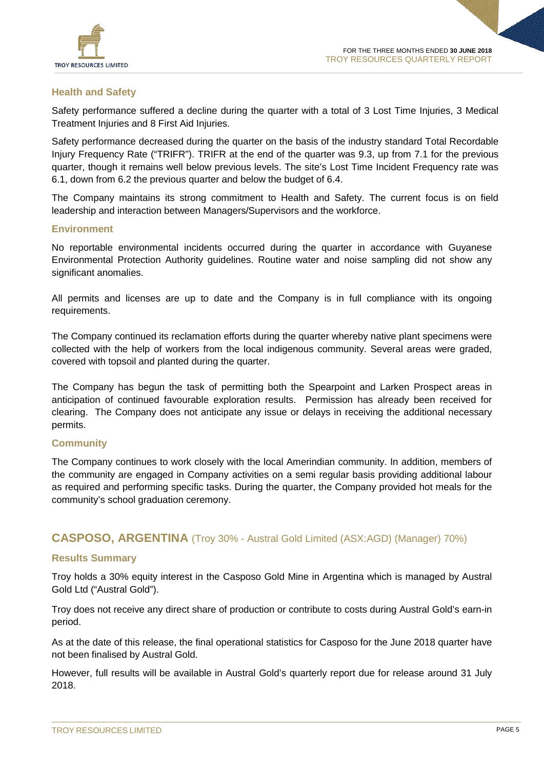

## **Health and Safety**

Safety performance suffered a decline during the quarter with a total of 3 Lost Time Injuries, 3 Medical Treatment Injuries and 8 First Aid Injuries.

Safety performance decreased during the quarter on the basis of the industry standard Total Recordable Injury Frequency Rate ("TRIFR"). TRIFR at the end of the quarter was 9.3, up from 7.1 for the previous quarter, though it remains well below previous levels. The site's Lost Time Incident Frequency rate was 6.1, down from 6.2 the previous quarter and below the budget of 6.4.

The Company maintains its strong commitment to Health and Safety. The current focus is on field leadership and interaction between Managers/Supervisors and the workforce.

#### **Environment**

No reportable environmental incidents occurred during the quarter in accordance with Guyanese Environmental Protection Authority guidelines. Routine water and noise sampling did not show any significant anomalies.

All permits and licenses are up to date and the Company is in full compliance with its ongoing requirements.

The Company continued its reclamation efforts during the quarter whereby native plant specimens were collected with the help of workers from the local indigenous community. Several areas were graded, covered with topsoil and planted during the quarter.

The Company has begun the task of permitting both the Spearpoint and Larken Prospect areas in anticipation of continued favourable exploration results. Permission has already been received for clearing. The Company does not anticipate any issue or delays in receiving the additional necessary permits.

### **Community**

The Company continues to work closely with the local Amerindian community. In addition, members of the community are engaged in Company activities on a semi regular basis providing additional labour as required and performing specific tasks. During the quarter, the Company provided hot meals for the community's school graduation ceremony.

## **CASPOSO, ARGENTINA** (Troy 30% - Austral Gold Limited (ASX:AGD) (Manager) 70%)

#### **Results Summary**

Troy holds a 30% equity interest in the Casposo Gold Mine in Argentina which is managed by Austral Gold Ltd ("Austral Gold").

Troy does not receive any direct share of production or contribute to costs during Austral Gold's earn-in period.

As at the date of this release, the final operational statistics for Casposo for the June 2018 quarter have not been finalised by Austral Gold.

However, full results will be available in Austral Gold's quarterly report due for release around 31 July 2018.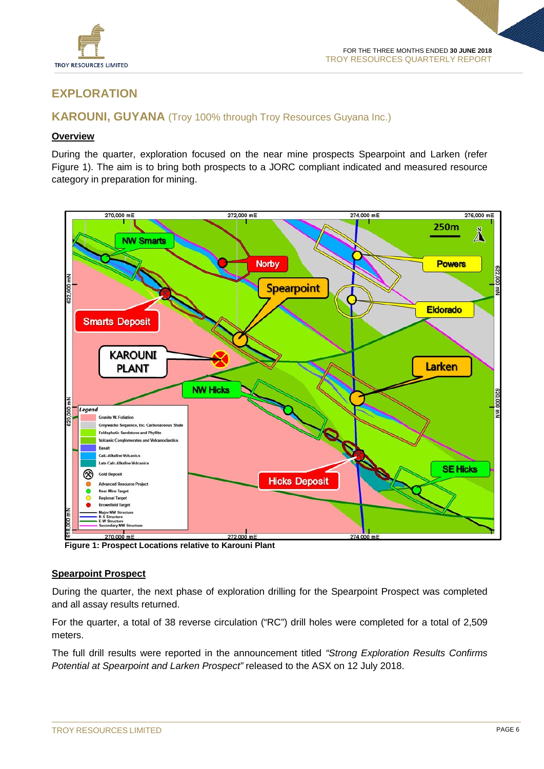

## **EXPLORATION**

## **KAROUNI, GUYANA** (Troy 100% through Troy Resources Guyana Inc.)

#### **Overview**

During the quarter, exploration focused on the near mine prospects Spearpoint and Larken (refer Figure 1). The aim is to bring both prospects to a JORC compliant indicated and measured resource category in preparation for mining.



**Figure 1: Prospect Locations relative to Karouni Plant**

#### **Spearpoint Prospect**

During the quarter, the next phase of exploration drilling for the Spearpoint Prospect was completed and all assay results returned.

For the quarter, a total of 38 reverse circulation ("RC") drill holes were completed for a total of 2,509 meters.

The full drill results were reported in the announcement titled *"Strong Exploration Results Confirms Potential at Spearpoint and Larken Prospect"* released to the ASX on 12 July 2018.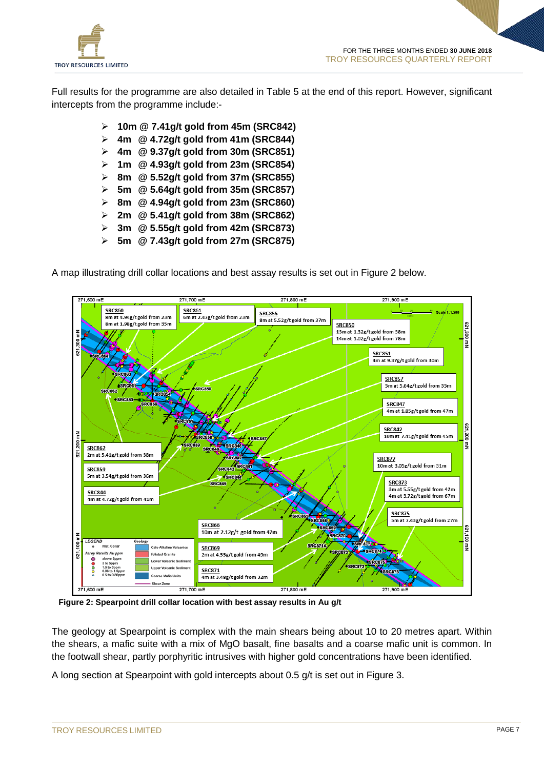

Full results for the programme are also detailed in Table 5 at the end of this report. However, significant intercepts from the programme include:-

- **10m @ 7.41g/t gold from 45m (SRC842)**
- **4m @ 4.72g/t gold from 41m (SRC844)**
- **4m @ 9.37g/t gold from 30m (SRC851)**
- **1m @ 4.93g/t gold from 23m (SRC854)**
- **8m @ 5.52g/t gold from 37m (SRC855)**
- **5m @ 5.64g/t gold from 35m (SRC857)**
- **8m @ 4.94g/t gold from 23m (SRC860)**
- **2m @ 5.41g/t gold from 38m (SRC862)**
- **3m @ 5.55g/t gold from 42m (SRC873)**
- **5m @ 7.43g/t gold from 27m (SRC875)**

A map illustrating drill collar locations and best assay results is set out in Figure 2 below.



 **Figure 2: Spearpoint drill collar location with best assay results in Au g/t**

The geology at Spearpoint is complex with the main shears being about 10 to 20 metres apart. Within the shears, a mafic suite with a mix of MgO basalt, fine basalts and a coarse mafic unit is common. In the footwall shear, partly porphyritic intrusives with higher gold concentrations have been identified.

A long section at Spearpoint with gold intercepts about 0.5 g/t is set out in Figure 3.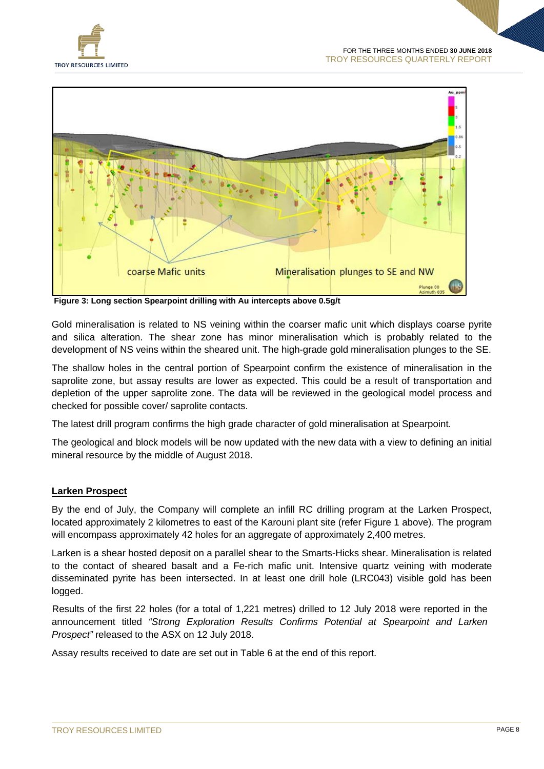



**Figure 3: Long section Spearpoint drilling with Au intercepts above 0.5g/t**

Gold mineralisation is related to NS veining within the coarser mafic unit which displays coarse pyrite and silica alteration. The shear zone has minor mineralisation which is probably related to the development of NS veins within the sheared unit. The high-grade gold mineralisation plunges to the SE.

The shallow holes in the central portion of Spearpoint confirm the existence of mineralisation in the saprolite zone, but assay results are lower as expected. This could be a result of transportation and depletion of the upper saprolite zone. The data will be reviewed in the geological model process and checked for possible cover/ saprolite contacts.

The latest drill program confirms the high grade character of gold mineralisation at Spearpoint.

The geological and block models will be now updated with the new data with a view to defining an initial mineral resource by the middle of August 2018.

### **Larken Prospect**

By the end of July, the Company will complete an infill RC drilling program at the Larken Prospect, located approximately 2 kilometres to east of the Karouni plant site (refer Figure 1 above). The program will encompass approximately 42 holes for an aggregate of approximately 2,400 metres.

Larken is a shear hosted deposit on a parallel shear to the Smarts-Hicks shear. Mineralisation is related to the contact of sheared basalt and a Fe-rich mafic unit. Intensive quartz veining with moderate disseminated pyrite has been intersected. In at least one drill hole (LRC043) visible gold has been logged.

Results of the first 22 holes (for a total of 1,221 metres) drilled to 12 July 2018 were reported in the announcement titled *"Strong Exploration Results Confirms Potential at Spearpoint and Larken Prospect"* released to the ASX on 12 July 2018.

Assay results received to date are set out in Table 6 at the end of this report.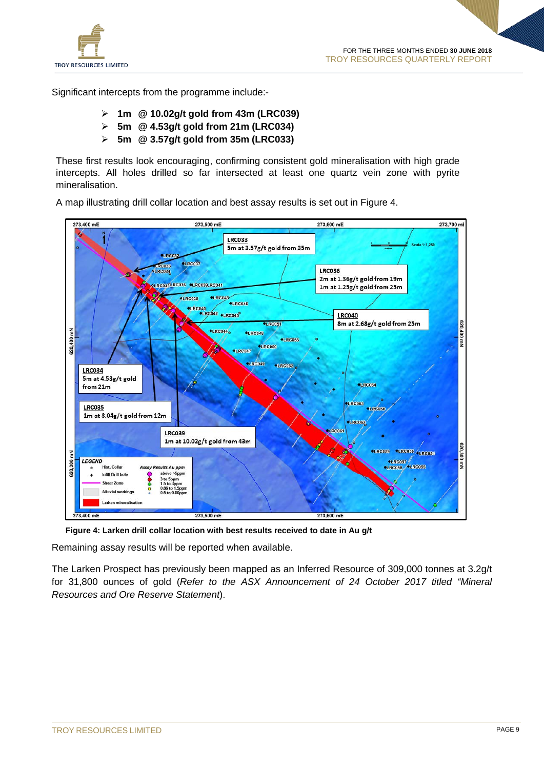

Significant intercepts from the programme include:-

- **1m @ 10.02g/t gold from 43m (LRC039)**
- **5m @ 4.53g/t gold from 21m (LRC034)**
- **5m @ 3.57g/t gold from 35m (LRC033)**

These first results look encouraging, confirming consistent gold mineralisation with high grade intercepts. All holes drilled so far intersected at least one quartz vein zone with pyrite mineralisation.

A map illustrating drill collar location and best assay results is set out in Figure 4.



 **Figure 4: Larken drill collar location with best results received to date in Au g/t**

Remaining assay results will be reported when available.

The Larken Prospect has previously been mapped as an Inferred Resource of 309,000 tonnes at 3.2g/t for 31,800 ounces of gold (*Refer to the ASX Announcement of 24 October 2017 titled "Mineral Resources and Ore Reserve Statement*).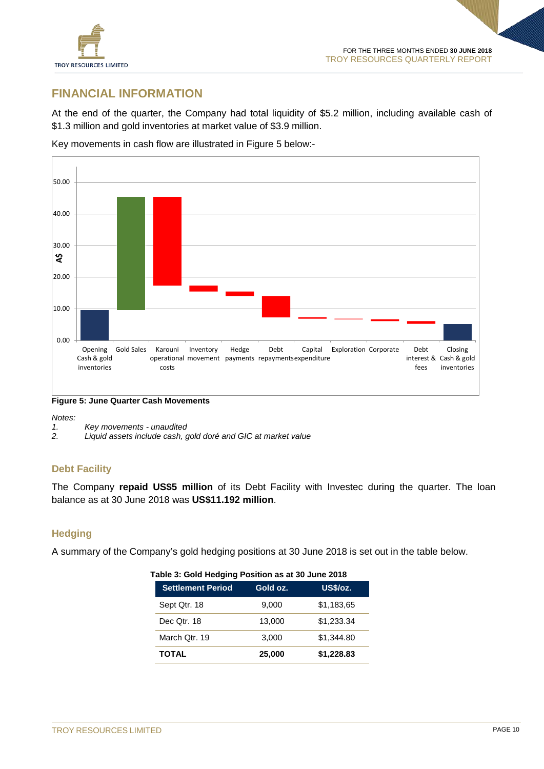

## **FINANCIAL INFORMATION**

At the end of the quarter, the Company had total liquidity of \$5.2 million, including available cash of \$1.3 million and gold inventories at market value of \$3.9 million.

Key movements in cash flow are illustrated in Figure 5 below:-



**Figure 5: June Quarter Cash Movements**

*Notes:*

*2. Liquid assets include cash, gold doré and GIC at market value*

### **Debt Facility**

The Company **repaid US\$5 million** of its Debt Facility with Investec during the quarter. The loan balance as at 30 June 2018 was **US\$11.192 million**.

### **Hedging**

A summary of the Company's gold hedging positions at 30 June 2018 is set out in the table below.

| <b>Settlement Period</b> | Gold oz. | US\$/oz.   |  |
|--------------------------|----------|------------|--|
| Sept Qtr. 18             | 9,000    | \$1,183,65 |  |
| Dec Otr. 18              | 13,000   | \$1,233.34 |  |
| March Qtr. 19            | 3,000    | \$1,344.80 |  |
| <b>TOTAL</b>             | 25,000   | \$1,228.83 |  |

#### **Table 3: Gold Hedging Position as at 30 June 2018**

*<sup>1.</sup> Key movements - unaudited*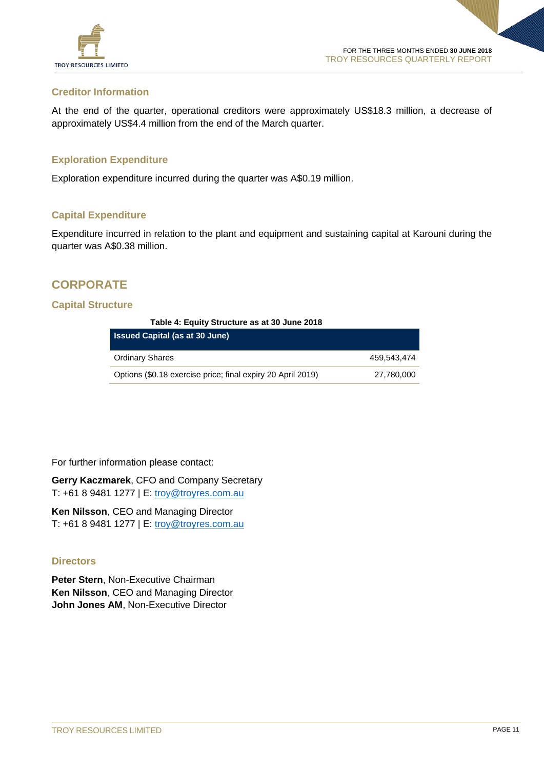

#### **Creditor Information**

At the end of the quarter, operational creditors were approximately US\$18.3 million, a decrease of approximately US\$4.4 million from the end of the March quarter.

#### **Exploration Expenditure**

Exploration expenditure incurred during the quarter was A\$0.19 million.

#### **Capital Expenditure**

Expenditure incurred in relation to the plant and equipment and sustaining capital at Karouni during the quarter was A\$0.38 million.

## **CORPORATE**

#### **Capital Structure**

#### **Table 4: Equity Structure as at 30 June 2018**

| <b>Issued Capital (as at 30 June)</b>                       |             |
|-------------------------------------------------------------|-------------|
| <b>Ordinary Shares</b>                                      | 459.543.474 |
| Options (\$0.18 exercise price; final expiry 20 April 2019) | 27,780,000  |

For further information please contact:

**Gerry Kaczmarek**, CFO and Company Secretary T: +61 8 9481 1277 | E: [troy@troyres.com.au](mailto:troy@troyres.com.au)

**Ken Nilsson**, CEO and Managing Director T: +61 8 9481 1277 | E: [troy@troyres.com.au](mailto:troy@troyres.com.au)

#### **Directors**

**Peter Stern**, Non-Executive Chairman **Ken Nilsson**, CEO and Managing Director **John Jones AM**, Non-Executive Director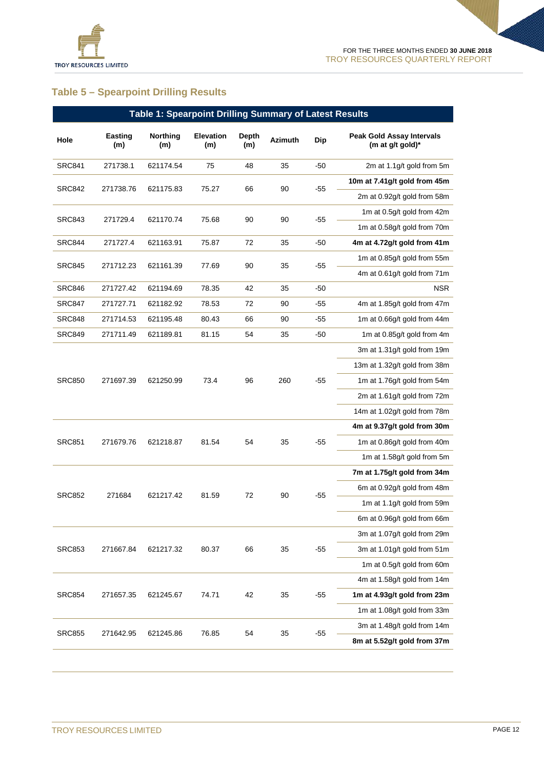

# **Table 5 – Spearpoint Drilling Results**

|               | Table 1: Spearpoint Drilling Summary of Latest Results |                                    |                         |              |                            |                             |                                                      |                             |  |
|---------------|--------------------------------------------------------|------------------------------------|-------------------------|--------------|----------------------------|-----------------------------|------------------------------------------------------|-----------------------------|--|
| Hole          | Easting<br>(m)                                         | Northing<br>(m)                    | <b>Elevation</b><br>(m) | Depth<br>(m) | <b>Azimuth</b>             | Dip                         | <b>Peak Gold Assay Intervals</b><br>(m at g/t gold)* |                             |  |
| <b>SRC841</b> | 271738.1                                               | 621174.54                          | 75                      | 48           | 35                         | -50                         | 2m at 1.1g/t gold from 5m                            |                             |  |
| SRC842        | 271738.76                                              | 621175.83                          | 75.27                   | 66           | 90                         | $-55$                       | 10m at 7.41g/t gold from 45m                         |                             |  |
|               |                                                        |                                    |                         |              |                            |                             | 2m at 0.92g/t gold from 58m                          |                             |  |
| <b>SRC843</b> | 271729.4                                               | 621170.74                          | 75.68                   | 90           | 90                         | $-55$                       | 1m at 0.5g/t gold from 42m                           |                             |  |
|               |                                                        |                                    |                         |              |                            |                             | 1m at 0.58g/t gold from 70m                          |                             |  |
| SRC844        | 271727.4                                               | 621163.91                          | 75.87                   | 72           | 35                         | $-50$                       | 4m at 4.72g/t gold from 41m                          |                             |  |
| <b>SRC845</b> | 271712.23                                              | 621161.39                          | 77.69                   | 90           | 35                         | $-55$                       | 1m at 0.85g/t gold from 55m                          |                             |  |
|               |                                                        |                                    |                         |              |                            |                             | 4m at 0.61g/t gold from 71m                          |                             |  |
| <b>SRC846</b> | 271727.42                                              | 621194.69                          | 78.35                   | 42           | 35                         | $-50$                       | NSR.                                                 |                             |  |
| <b>SRC847</b> | 271727.71                                              | 621182.92                          | 78.53                   | 72           | 90                         | $-55$                       | 4m at 1.85g/t gold from 47m                          |                             |  |
| <b>SRC848</b> | 271714.53                                              | 621195.48                          | 80.43                   | 66           | 90                         | $-55$                       | 1m at 0.66g/t gold from 44m                          |                             |  |
| SRC849        | 271711.49                                              | 621189.81                          | 81.15                   | 54           | 35                         | -50                         | 1m at 0.85g/t gold from 4m                           |                             |  |
|               | 271697.39                                              |                                    |                         | 96           | 260                        | $-55$                       | 3m at 1.31g/t gold from 19m                          |                             |  |
|               |                                                        |                                    |                         |              |                            |                             | 13m at 1.32g/t gold from 38m                         |                             |  |
| <b>SRC850</b> |                                                        | 621250.99                          | 73.4                    |              |                            |                             | 1m at 1.76g/t gold from 54m                          |                             |  |
|               |                                                        |                                    |                         |              |                            |                             | 2m at 1.61g/t gold from 72m                          |                             |  |
|               |                                                        |                                    |                         |              |                            |                             | 14m at 1.02g/t gold from 78m                         |                             |  |
|               |                                                        |                                    |                         | 54           | 35                         |                             | 4m at 9.37g/t gold from 30m                          |                             |  |
| <b>SRC851</b> | 271679.76                                              | 621218.87                          | 81.54                   |              |                            |                             | $-55$                                                | 1m at 0.86g/t gold from 40m |  |
|               |                                                        |                                    |                         |              |                            |                             | 1m at 1.58g/t gold from 5m                           |                             |  |
|               |                                                        |                                    |                         |              |                            |                             | 7m at 1.75g/t gold from 34m                          |                             |  |
| <b>SRC852</b> |                                                        |                                    |                         | 90           |                            | 6m at 0.92g/t gold from 48m |                                                      |                             |  |
|               |                                                        | 271684<br>621217.42<br>72<br>81.59 |                         | $-55$        | 1m at 1.1g/t gold from 59m |                             |                                                      |                             |  |
|               |                                                        |                                    |                         |              |                            |                             | 6m at 0.96g/t gold from 66m                          |                             |  |
|               |                                                        |                                    |                         |              |                            |                             | 3m at 1.07g/t gold from 29m                          |                             |  |
| <b>SRC853</b> | 271667.84                                              | 621217.32                          | 80.37                   | 66           | 35                         | $-55$                       | 3m at 1.01g/t gold from 51m                          |                             |  |
|               |                                                        |                                    |                         |              |                            |                             | 1m at 0.5g/t gold from 60m                           |                             |  |
|               |                                                        |                                    |                         |              |                            |                             | 4m at 1.58g/t gold from 14m                          |                             |  |
| <b>SRC854</b> | 271657.35                                              | 621245.67                          | 74.71                   | 42           | 35                         | $-55$                       | 1m at 4.93g/t gold from 23m                          |                             |  |
|               |                                                        |                                    |                         |              |                            |                             | 1m at 1.08g/t gold from 33m                          |                             |  |
| <b>SRC855</b> |                                                        |                                    |                         |              |                            |                             | 3m at 1.48g/t gold from 14m                          |                             |  |
|               | 271642.95                                              | 621245.86                          | 76.85                   | 54           | 35                         | $-55$                       | 8m at 5.52g/t gold from 37m                          |                             |  |
|               |                                                        |                                    |                         |              |                            |                             |                                                      |                             |  |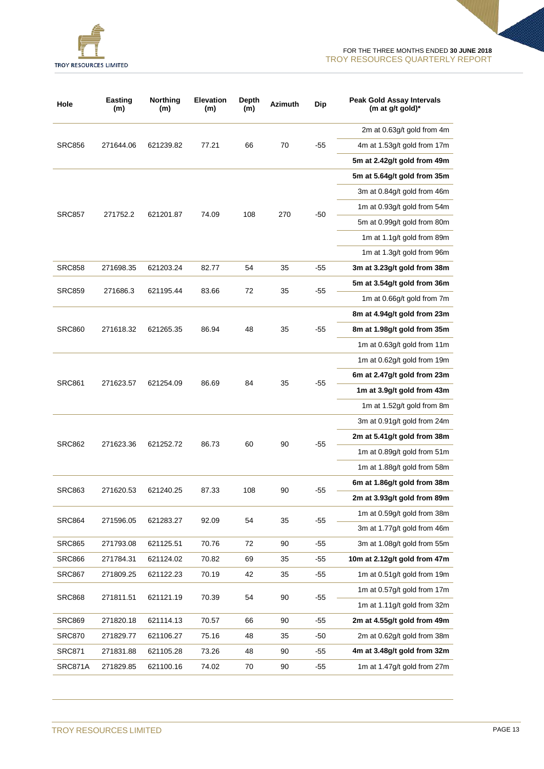

| Hole          | <b>Easting</b><br>(m) | Northing<br>(m) | <b>Elevation</b><br>(m) | Depth<br>(m) | <b>Azimuth</b> | Dip   | <b>Peak Gold Assay Intervals</b><br>(m at g/t gold)* |                             |
|---------------|-----------------------|-----------------|-------------------------|--------------|----------------|-------|------------------------------------------------------|-----------------------------|
|               |                       |                 |                         |              |                |       |                                                      | 2m at 0.63g/t gold from 4m  |
| <b>SRC856</b> | 271644.06             | 621239.82       | 77.21                   | 66           | 70             | $-55$ | 4m at 1.53g/t gold from 17m                          |                             |
|               |                       |                 |                         |              |                |       | 5m at 2.42g/t gold from 49m                          |                             |
|               |                       |                 |                         |              |                |       | 5m at 5.64g/t gold from 35m                          |                             |
|               |                       |                 |                         |              |                |       | 3m at 0.84g/t gold from 46m                          |                             |
|               |                       |                 |                         |              |                |       | 1m at 0.93g/t gold from 54m                          |                             |
| <b>SRC857</b> | 271752.2              | 621201.87       | 74.09                   | 108          | 270            | $-50$ | 5m at 0.99g/t gold from 80m                          |                             |
|               |                       |                 |                         |              |                |       | 1m at 1.1g/t gold from 89m                           |                             |
|               |                       |                 |                         |              |                |       | 1m at 1.3g/t gold from 96m                           |                             |
| <b>SRC858</b> | 271698.35             | 621203.24       | 82.77                   | 54           | 35             | $-55$ | 3m at 3.23g/t gold from 38m                          |                             |
|               |                       |                 |                         |              |                |       | 5m at 3.54g/t gold from 36m                          |                             |
| <b>SRC859</b> | 271686.3              | 621195.44       | 83.66                   | 72           | 35             | $-55$ | 1m at 0.66g/t gold from 7m                           |                             |
|               |                       |                 |                         | 48           | 35             |       | 8m at 4.94g/t gold from 23m                          |                             |
| <b>SRC860</b> | 271618.32             | 621265.35       | 86.94                   |              |                | $-55$ | 8m at 1.98g/t gold from 35m                          |                             |
|               |                       |                 |                         |              |                |       | 1m at 0.63g/t gold from 11m                          |                             |
|               |                       |                 |                         |              |                |       | 1m at 0.62g/t gold from 19m                          |                             |
|               |                       |                 |                         |              |                |       | 6m at 2.47g/t gold from 23m                          |                             |
| <b>SRC861</b> | 271623.57             | 621254.09       | 86.69                   | 84           | 35             | $-55$ | 1m at 3.9g/t gold from 43m                           |                             |
|               |                       |                 |                         |              |                |       | 1m at 1.52g/t gold from 8m                           |                             |
|               |                       |                 |                         |              |                |       | 3m at 0.91g/t gold from 24m                          |                             |
|               |                       |                 |                         |              | 90             | $-55$ | 2m at 5.41g/t gold from 38m                          |                             |
| <b>SRC862</b> | 271623.36             | 621252.72       | 86.73                   | 60           |                |       | 1m at 0.89g/t gold from 51m                          |                             |
|               |                       |                 |                         |              |                |       | 1m at 1.88g/t gold from 58m                          |                             |
|               | 271620.53             | 621240.25       |                         |              |                |       |                                                      | 6m at 1.86g/t gold from 38m |
| <b>SRC863</b> |                       |                 | 87.33                   | 108          | 90             | $-55$ | 2m at 3.93g/t gold from 89m                          |                             |
|               |                       |                 |                         |              |                |       | 1m at 0.59q/t gold from 38m                          |                             |
| <b>SRC864</b> | 271596.05             | 621283.27       | 92.09                   | 54           | 35             | $-55$ | 3m at 1.77g/t gold from 46m                          |                             |
| <b>SRC865</b> | 271793.08             | 621125.51       | 70.76                   | 72           | 90             | $-55$ | 3m at 1.08g/t gold from 55m                          |                             |
| <b>SRC866</b> | 271784.31             | 621124.02       | 70.82                   | 69           | 35             | -55   | 10m at 2.12g/t gold from 47m                         |                             |
| <b>SRC867</b> | 271809.25             | 621122.23       | 70.19                   | 42           | 35             | -55   | 1m at 0.51g/t gold from 19m                          |                             |
|               |                       |                 |                         |              |                |       | 1m at 0.57g/t gold from 17m                          |                             |
| <b>SRC868</b> | 271811.51             | 621121.19       | 70.39                   | 54           | 90             | $-55$ | 1m at 1.11g/t gold from 32m                          |                             |
| <b>SRC869</b> | 271820.18             | 621114.13       | 70.57                   | 66           | 90             | $-55$ | 2m at 4.55g/t gold from 49m                          |                             |
| <b>SRC870</b> | 271829.77             | 621106.27       | 75.16                   | 48           | 35             | -50   | 2m at 0.62g/t gold from 38m                          |                             |
| <b>SRC871</b> | 271831.88             | 621105.28       | 73.26                   | 48           | 90             | -55   | 4m at 3.48g/t gold from 32m                          |                             |
| SRC871A       | 271829.85             | 621100.16       | 74.02                   | 70           | 90             | -55   | 1m at 1.47g/t gold from 27m                          |                             |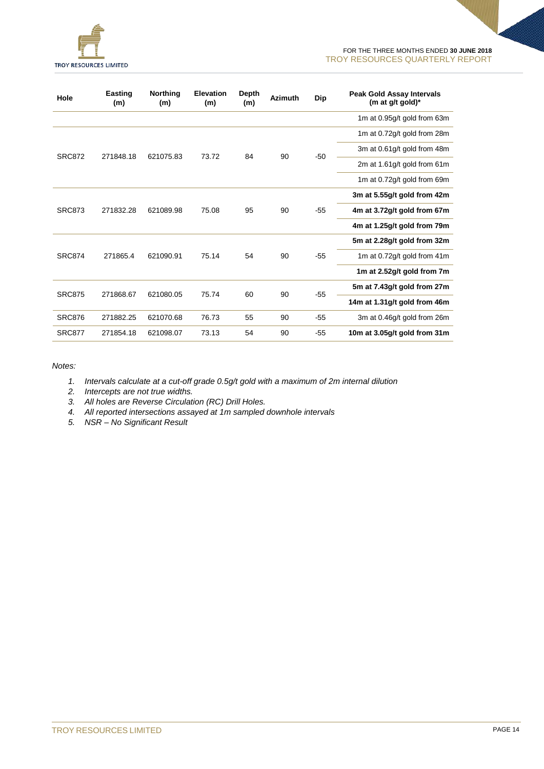

| Hole          | Easting<br>(m) | <b>Northing</b><br>(m) | Elevation<br>(m) | Depth<br>(m) | <b>Azimuth</b> | <b>Dip</b> | <b>Peak Gold Assay Intervals</b><br>(m at $g/t$ gold) <sup>*</sup> |                             |
|---------------|----------------|------------------------|------------------|--------------|----------------|------------|--------------------------------------------------------------------|-----------------------------|
|               |                |                        |                  |              |                |            | 1m at 0.95g/t gold from 63m                                        |                             |
|               |                |                        |                  |              |                |            | 1m at 0.72g/t gold from 28m                                        |                             |
| <b>SRC872</b> | 271848.18      | 621075.83              | 73.72            | 84           | 90             | $-50$      | 3m at 0.61g/t gold from 48m                                        |                             |
|               |                |                        |                  |              |                |            |                                                                    | 2m at 1.61g/t gold from 61m |
|               |                |                        |                  |              |                |            | 1m at 0.72g/t gold from 69m                                        |                             |
|               |                |                        |                  |              |                |            | 3m at 5.55g/t gold from 42m                                        |                             |
| <b>SRC873</b> | 271832.28      | 621089.98              | 75.08            | 95           | 90             | $-55$      | 4m at 3.72g/t gold from 67m                                        |                             |
|               |                |                        |                  |              |                |            | 4m at 1.25g/t gold from 79m                                        |                             |
|               |                |                        |                  |              |                |            | 5m at 2.28g/t gold from 32m                                        |                             |
| <b>SRC874</b> | 271865.4       | 621090.91              | 75.14            | 54           | 90             | $-55$      | 1m at 0.72g/t gold from 41m                                        |                             |
|               |                |                        |                  |              |                |            | 1m at 2.52g/t gold from 7m                                         |                             |
|               |                |                        |                  |              |                |            | 5m at 7.43g/t gold from 27m                                        |                             |
| <b>SRC875</b> | 271868.67      | 621080.05              | 75.74            | 60           | 90             | -55        | 14m at 1.31g/t gold from 46m                                       |                             |
| <b>SRC876</b> | 271882.25      | 621070.68              | 76.73            | 55           | 90             | $-55$      | 3m at 0.46g/t gold from 26m                                        |                             |
| <b>SRC877</b> | 271854.18      | 621098.07              | 73.13            | 54           | 90             | $-55$      | 10m at 3.05g/t gold from 31m                                       |                             |

*Notes:*

- *1. Intervals calculate at a cut-off grade 0.5g/t gold with a maximum of 2m internal dilution*
- *2. Intercepts are not true widths.*
- *3. All holes are Reverse Circulation (RC) Drill Holes.*
- *4. All reported intersections assayed at 1m sampled downhole intervals*
- *5. NSR – No Significant Result*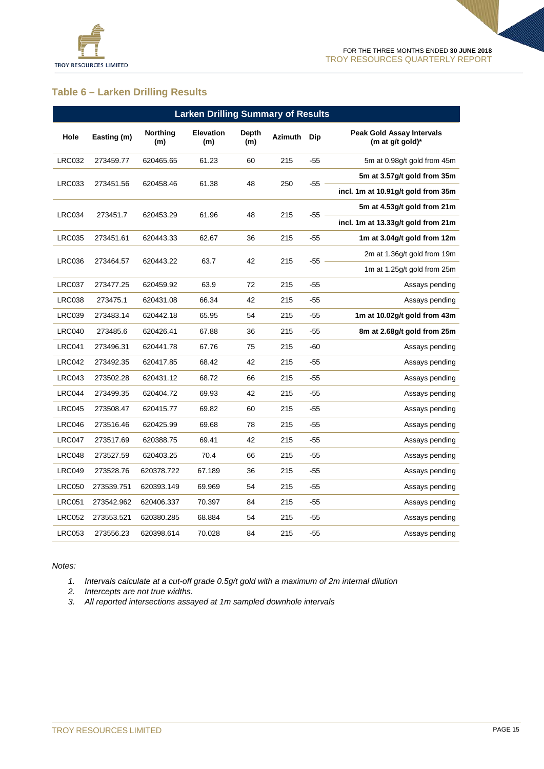

### **Table 6 – Larken Drilling Results**

|               |             | <b>Larken Drilling Summary of Results</b> |                  |                     |         |       |                                                      |
|---------------|-------------|-------------------------------------------|------------------|---------------------|---------|-------|------------------------------------------------------|
| Hole          | Easting (m) | <b>Northing</b><br>(m)                    | Elevation<br>(m) | <b>Depth</b><br>(m) | Azimuth | Dip   | <b>Peak Gold Assay Intervals</b><br>(m at g/t gold)* |
| <b>LRC032</b> | 273459.77   | 620465.65                                 | 61.23            | 60                  | 215     | -55   | 5m at 0.98g/t gold from 45m                          |
| <b>LRC033</b> | 273451.56   | 620458.46                                 | 61.38            | 48                  | 250     | $-55$ | 5m at 3.57g/t gold from 35m                          |
|               |             |                                           |                  |                     |         |       | incl. 1m at 10.91g/t gold from 35m                   |
| <b>LRC034</b> | 273451.7    | 620453.29                                 | 61.96            | 48                  | 215     | -55   | 5m at 4.53g/t gold from 21m                          |
|               |             |                                           |                  |                     |         |       | incl. 1m at 13.33g/t gold from 21m                   |
| <b>LRC035</b> | 273451.61   | 620443.33                                 | 62.67            | 36                  | 215     | -55   | 1m at 3.04g/t gold from 12m                          |
| <b>LRC036</b> | 273464.57   | 620443.22                                 | 63.7             | 42                  | 215     | -55   | 2m at 1.36g/t gold from 19m                          |
|               |             |                                           |                  |                     |         |       | 1m at 1.25g/t gold from 25m                          |
| LRC037        | 273477.25   | 620459.92                                 | 63.9             | 72                  | 215     | -55   | Assays pending                                       |
| <b>LRC038</b> | 273475.1    | 620431.08                                 | 66.34            | 42                  | 215     | $-55$ | Assays pending                                       |
| <b>LRC039</b> | 273483.14   | 620442.18                                 | 65.95            | 54                  | 215     | $-55$ | 1m at 10.02g/t gold from 43m                         |
| LRC040        | 273485.6    | 620426.41                                 | 67.88            | 36                  | 215     | -55   | 8m at 2.68g/t gold from 25m                          |
| <b>LRC041</b> | 273496.31   | 620441.78                                 | 67.76            | 75                  | 215     | -60   | Assays pending                                       |
| LRC042        | 273492.35   | 620417.85                                 | 68.42            | 42                  | 215     | $-55$ | Assays pending                                       |
| LRC043        | 273502.28   | 620431.12                                 | 68.72            | 66                  | 215     | -55   | Assays pending                                       |
| LRC044        | 273499.35   | 620404.72                                 | 69.93            | 42                  | 215     | -55   | Assays pending                                       |
| LRC045        | 273508.47   | 620415.77                                 | 69.82            | 60                  | 215     | $-55$ | Assays pending                                       |
| LRC046        | 273516.46   | 620425.99                                 | 69.68            | 78                  | 215     | -55   | Assays pending                                       |
| <b>LRC047</b> | 273517.69   | 620388.75                                 | 69.41            | 42                  | 215     | -55   | Assays pending                                       |
| LRC048        | 273527.59   | 620403.25                                 | 70.4             | 66                  | 215     | $-55$ | Assays pending                                       |
| LRC049        | 273528.76   | 620378.722                                | 67.189           | 36                  | 215     | -55   | Assays pending                                       |
| <b>LRC050</b> | 273539.751  | 620393.149                                | 69.969           | 54                  | 215     | $-55$ | Assays pending                                       |
| <b>LRC051</b> | 273542.962  | 620406.337                                | 70.397           | 84                  | 215     | $-55$ | Assays pending                                       |
| <b>LRC052</b> | 273553.521  | 620380.285                                | 68.884           | 54                  | 215     | -55   | Assays pending                                       |
| <b>LRC053</b> | 273556.23   | 620398.614                                | 70.028           | 84                  | 215     | -55   | Assays pending                                       |
|               |             |                                           |                  |                     |         |       |                                                      |

*Notes:*

*1. Intervals calculate at a cut-off grade 0.5g/t gold with a maximum of 2m internal dilution*

- *2. Intercepts are not true widths.*
- *3. All reported intersections assayed at 1m sampled downhole intervals*